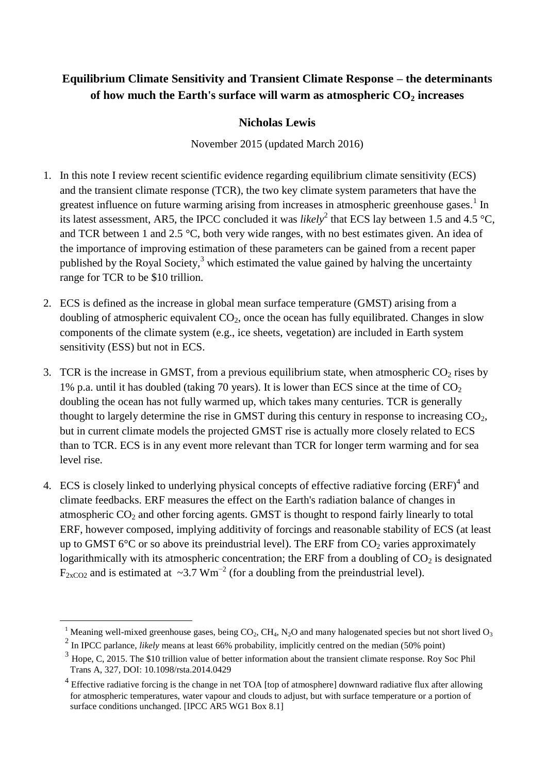# **Equilibrium Climate Sensitivity and Transient Climate Response – the determinants of how much the Earth's surface will warm as atmospheric CO<sup>2</sup> increases**

# **Nicholas Lewis**

November 2015 (updated March 2016)

- 1. In this note I review recent scientific evidence regarding equilibrium climate sensitivity (ECS) and the transient climate response (TCR), the two key climate system parameters that have the greatest influence on future warming arising from increases in atmospheric greenhouse gases.<sup>1</sup> In its latest assessment, AR5, the IPCC concluded it was *likely*<sup>2</sup> that ECS lay between 1.5 and 4.5 °C, and TCR between 1 and 2.5 °C, both very wide ranges, with no best estimates given. An idea of the importance of improving estimation of these parameters can be gained from a recent paper published by the Royal Society, $3$  which estimated the value gained by halving the uncertainty range for TCR to be \$10 trillion.
- 2. ECS is defined as the increase in global mean surface temperature (GMST) arising from a doubling of atmospheric equivalent  $CO<sub>2</sub>$ , once the ocean has fully equilibrated. Changes in slow components of the climate system (e.g., ice sheets, vegetation) are included in Earth system sensitivity (ESS) but not in ECS.
- 3. TCR is the increase in GMST, from a previous equilibrium state, when atmospheric  $CO<sub>2</sub>$  rises by 1% p.a. until it has doubled (taking 70 years). It is lower than ECS since at the time of  $CO<sub>2</sub>$ doubling the ocean has not fully warmed up, which takes many centuries. TCR is generally thought to largely determine the rise in GMST during this century in response to increasing  $CO<sub>2</sub>$ , but in current climate models the projected GMST rise is actually more closely related to ECS than to TCR. ECS is in any event more relevant than TCR for longer term warming and for sea level rise.
- 4. ECS is closely linked to underlying physical concepts of effective radiative forcing  $(ERF)^4$  and climate feedbacks. ERF measures the effect on the Earth's radiation balance of changes in atmospheric  $CO<sub>2</sub>$  and other forcing agents. GMST is thought to respond fairly linearly to total ERF, however composed, implying additivity of forcings and reasonable stability of ECS (at least up to GMST 6 $\degree$ C or so above its preindustrial level). The ERF from CO<sub>2</sub> varies approximately logarithmically with its atmospheric concentration; the ERF from a doubling of  $CO<sub>2</sub>$  is designated  $F_{2xCO2}$  and is estimated at ~3.7 Wm<sup>-2</sup> (for a doubling from the preindustrial level).

<sup>&</sup>lt;sup>1</sup> Meaning well-mixed greenhouse gases, being  $CO_2$ , CH<sub>4</sub>, N<sub>2</sub>O and many halogenated species but not short lived  $O_3$ 

<sup>&</sup>lt;sup>2</sup> In IPCC parlance, *likely* means at least 66% probability, implicitly centred on the median (50% point)

 $3$  Hope, C, 2015. The \$10 trillion value of better information about the transient climate response. Roy Soc Phil Trans A, 327, DOI: 10.1098/rsta.2014.0429

 $4$  Effective radiative forcing is the change in net TOA [top of atmosphere] downward radiative flux after allowing for atmospheric temperatures, water vapour and clouds to adjust, but with surface temperature or a portion of surface conditions unchanged. [IPCC AR5 WG1 Box 8.1]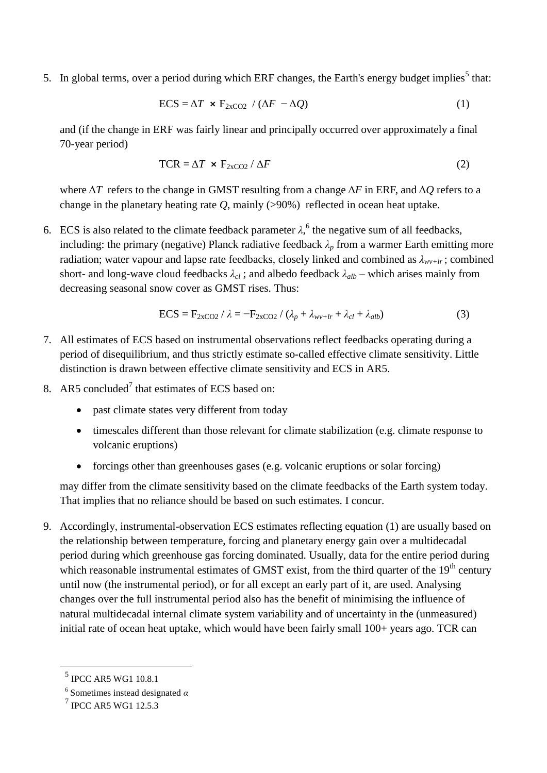5. In global terms, over a period during which ERF changes, the Earth's energy budget implies<sup>5</sup> that:

$$
ECS = \Delta T \times F_{2xCO2} / (\Delta F - \Delta Q)
$$
 (1)

and (if the change in ERF was fairly linear and principally occurred over approximately a final 70-year period)

$$
TCR = \Delta T \times F_{2xCO2} / \Delta F \tag{2}
$$

where Δ*T* refers to the change in GMST resulting from a change Δ*F* in ERF, and Δ*Q* refers to a change in the planetary heating rate *Q*, mainly (>90%) reflected in ocean heat uptake.

6. ECS is also related to the climate feedback parameter  $\lambda$ ,<sup>6</sup> the negative sum of all feedbacks, including: the primary (negative) Planck radiative feedback  $\lambda_p$  from a warmer Earth emitting more radiation; water vapour and lapse rate feedbacks, closely linked and combined as  $\lambda_{w+lr}$ ; combined short- and long-wave cloud feedbacks  $\lambda_{cl}$ ; and albedo feedback  $\lambda_{alb}$  – which arises mainly from decreasing seasonal snow cover as GMST rises. Thus:

$$
ECS = F_{2xCO2} / \lambda = -F_{2xCO2} / (\lambda_p + \lambda_{wv+lr} + \lambda_{cl} + \lambda_{alb})
$$
 (3)

- 7. All estimates of ECS based on instrumental observations reflect feedbacks operating during a period of disequilibrium, and thus strictly estimate so-called effective climate sensitivity. Little distinction is drawn between effective climate sensitivity and ECS in AR5.
- 8. AR5 concluded<sup>7</sup> that estimates of ECS based on:
	- past climate states very different from today
	- timescales different than those relevant for climate stabilization (e.g. climate response to volcanic eruptions)
	- forcings other than greenhouses gases (e.g. volcanic eruptions or solar forcing)

may differ from the climate sensitivity based on the climate feedbacks of the Earth system today. That implies that no reliance should be based on such estimates. I concur.

9. Accordingly, instrumental-observation ECS estimates reflecting equation (1) are usually based on the relationship between temperature, forcing and planetary energy gain over a multidecadal period during which greenhouse gas forcing dominated. Usually, data for the entire period during which reasonable instrumental estimates of GMST exist, from the third quarter of the  $19<sup>th</sup>$  century until now (the instrumental period), or for all except an early part of it, are used. Analysing changes over the full instrumental period also has the benefit of minimising the influence of natural multidecadal internal climate system variability and of uncertainty in the (unmeasured) initial rate of ocean heat uptake, which would have been fairly small 100+ years ago. TCR can

<sup>5</sup> IPCC AR5 WG1 10.8.1

<sup>6</sup> Sometimes instead designated *α*

<sup>7</sup> IPCC AR5 WG1 12.5.3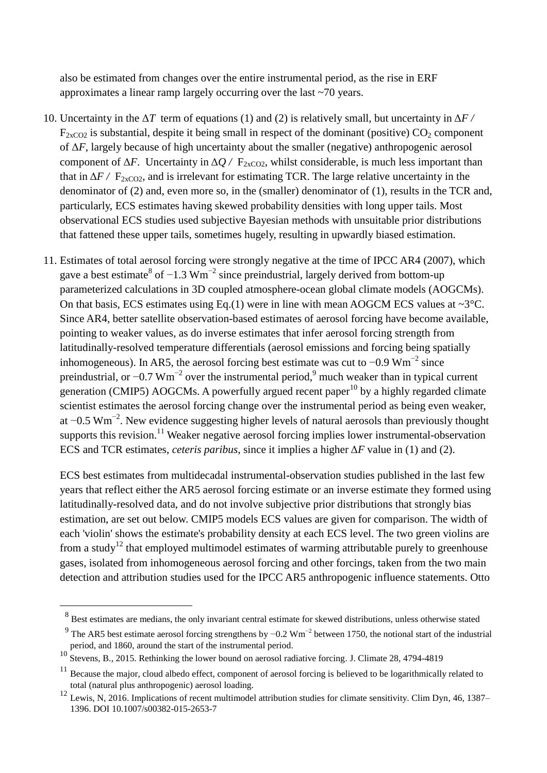also be estimated from changes over the entire instrumental period, as the rise in ERF approximates a linear ramp largely occurring over the last ~70 years.

- 10. Uncertainty in the Δ*T* term of equations (1) and (2) is relatively small, but uncertainty in Δ*F /*   $F_{2xCO2}$  is substantial, despite it being small in respect of the dominant (positive)  $CO_2$  component of Δ*F*, largely because of high uncertainty about the smaller (negative) anthropogenic aerosol component of  $\Delta F$ . Uncertainty in  $\Delta Q$  /  $F_{2xCO2}$ , whilst considerable, is much less important than that in  $\Delta F$  /  $F_{2xCO2}$ , and is irrelevant for estimating TCR. The large relative uncertainty in the denominator of (2) and, even more so, in the (smaller) denominator of (1), results in the TCR and, particularly, ECS estimates having skewed probability densities with long upper tails. Most observational ECS studies used subjective Bayesian methods with unsuitable prior distributions that fattened these upper tails, sometimes hugely, resulting in upwardly biased estimation.
- 11. Estimates of total aerosol forcing were strongly negative at the time of IPCC AR4 (2007), which gave a best estimate<sup>8</sup> of  $-1.3 \text{ Wm}^{-2}$  since preindustrial, largely derived from bottom-up parameterized calculations in 3D coupled atmosphere-ocean global climate models (AOGCMs). On that basis, ECS estimates using Eq.(1) were in line with mean AOGCM ECS values at  $\sim 3^{\circ}$ C. Since AR4, better satellite observation-based estimates of aerosol forcing have become available, pointing to weaker values, as do inverse estimates that infer aerosol forcing strength from latitudinally-resolved temperature differentials (aerosol emissions and forcing being spatially inhomogeneous). In AR5, the aerosol forcing best estimate was cut to  $-0.9 \text{ Wm}^{-2}$  since preindustrial, or  $-0.7 \text{ Wm}^{-2}$  over the instrumental period,<sup>9</sup> much weaker than in typical current generation (CMIP5) AOGCMs. A powerfully argued recent paper<sup>10</sup> by a highly regarded climate scientist estimates the aerosol forcing change over the instrumental period as being even weaker, at  $-0.5 \text{ Wm}^{-2}$ . New evidence suggesting higher levels of natural aerosols than previously thought supports this revision.<sup>11</sup> Weaker negative aerosol forcing implies lower instrumental-observation ECS and TCR estimates, *ceteris paribus*, since it implies a higher Δ*F* value in (1) and (2).

ECS best estimates from multidecadal instrumental-observation studies published in the last few years that reflect either the AR5 aerosol forcing estimate or an inverse estimate they formed using latitudinally-resolved data, and do not involve subjective prior distributions that strongly bias estimation, are set out below. CMIP5 models ECS values are given for comparison. The width of each 'violin' shows the estimate's probability density at each ECS level. The two green violins are from a study<sup>12</sup> that employed multimodel estimates of warming attributable purely to greenhouse gases, isolated from inhomogeneous aerosol forcing and other forcings, taken from the two main detection and attribution studies used for the IPCC AR5 anthropogenic influence statements. Otto

 $8$  Best estimates are medians, the only invariant central estimate for skewed distributions, unless otherwise stated

<sup>&</sup>lt;sup>9</sup> The AR5 best estimate aerosol forcing strengthens by  $-0.2 \text{ Wm}^{-2}$  between 1750, the notional start of the industrial period, and 1860, around the start of the instrumental period.

<sup>10&</sup>lt;br><sup>10</sup> Stevens, B., 2015. Rethinking the lower bound on aerosol radiative forcing. J. Climate 28, 4794-4819

<sup>&</sup>lt;sup>11</sup> Because the major, cloud albedo effect, component of aerosol forcing is believed to be logarithmically related to total (natural plus anthropogenic) aerosol loading.

<sup>&</sup>lt;sup>12</sup> Lewis, N, 2016. Implications of recent multimodel attribution studies for climate sensitivity. Clim Dyn, 46, 1387– 1396. DOI 10.1007/s00382-015-2653-7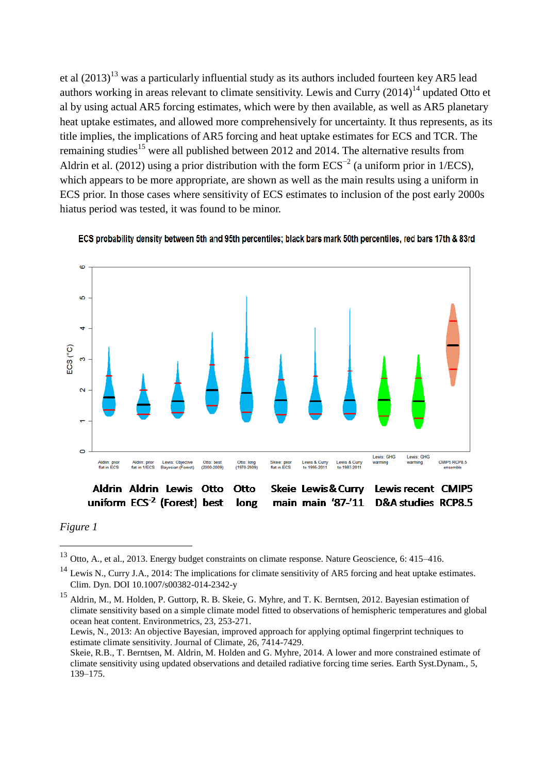et al  $(2013)^{13}$  was a particularly influential study as its authors included fourteen key AR5 lead authors working in areas relevant to climate sensitivity. Lewis and Curry  $(2014)^{14}$  updated Otto et al by using actual AR5 forcing estimates, which were by then available, as well as AR5 planetary heat uptake estimates, and allowed more comprehensively for uncertainty. It thus represents, as its title implies, the implications of AR5 forcing and heat uptake estimates for ECS and TCR. The remaining studies<sup>15</sup> were all published between 2012 and 2014. The alternative results from Aldrin et al. (2012) using a prior distribution with the form  $ECS^{-2}$  (a uniform prior in 1/ECS), which appears to be more appropriate, are shown as well as the main results using a uniform in ECS prior. In those cases where sensitivity of ECS estimates to inclusion of the post early 2000s hiatus period was tested, it was found to be minor.





*Figure 1*

 $\overline{a}$ 

Lewis, N., 2013: An objective Bayesian, improved approach for applying optimal fingerprint techniques to estimate climate sensitivity. Journal of Climate, 26, 7414-7429.

Skeie, R.B., T. Berntsen, M. Aldrin, M. Holden and G. Myhre, 2014. A lower and more constrained estimate of climate sensitivity using updated observations and detailed radiative forcing time series. Earth Syst.Dynam., 5, 139–175.

<sup>13</sup> Otto, A., et al., 2013. Energy budget constraints on climate response. Nature Geoscience, 6: 415–416.

<sup>&</sup>lt;sup>14</sup> Lewis N., Curry J.A., 2014: The implications for climate sensitivity of AR5 forcing and heat uptake estimates. Clim. Dyn. DOI 10.1007/s00382-014-2342-y

<sup>15</sup> Aldrin, M., M. Holden, P. Guttorp, R. B. Skeie, G. Myhre, and T. K. Berntsen, 2012. Bayesian estimation of climate sensitivity based on a simple climate model fitted to observations of hemispheric temperatures and global ocean heat content. Environmetrics, 23, 253-271.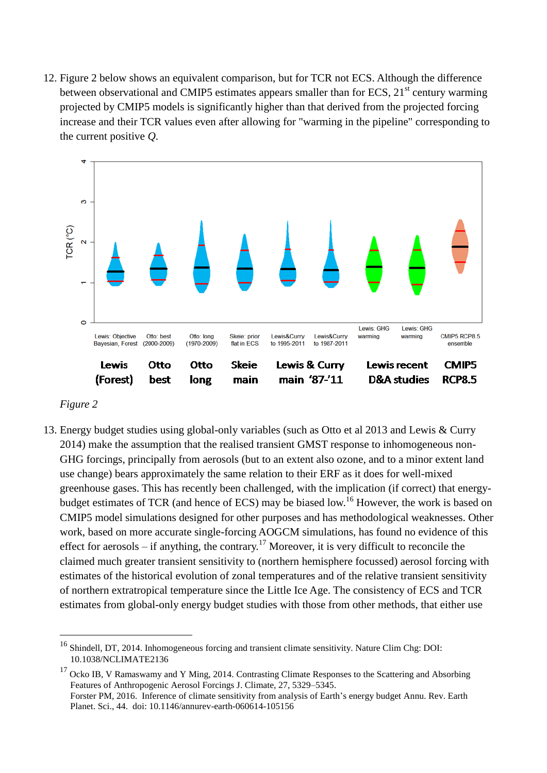12. Figure 2 below shows an equivalent comparison, but for TCR not ECS. Although the difference between observational and CMIP5 estimates appears smaller than for ECS,  $21<sup>st</sup>$  century warming projected by CMIP5 models is significantly higher than that derived from the projected forcing increase and their TCR values even after allowing for "warming in the pipeline" corresponding to the current positive *Q*.



#### *Figure 2*

 $\overline{a}$ 

13. Energy budget studies using global-only variables (such as Otto et al 2013 and Lewis & Curry 2014) make the assumption that the realised transient GMST response to inhomogeneous non-GHG forcings, principally from aerosols (but to an extent also ozone, and to a minor extent land use change) bears approximately the same relation to their ERF as it does for well-mixed greenhouse gases. This has recently been challenged, with the implication (if correct) that energybudget estimates of TCR (and hence of ECS) may be biased low.<sup>16</sup> However, the work is based on CMIP5 model simulations designed for other purposes and has methodological weaknesses. Other work, based on more accurate single-forcing AOGCM simulations, has found no evidence of this effect for aerosols – if anything, the contrary.<sup>17</sup> Moreover, it is very difficult to reconcile the claimed much greater transient sensitivity to (northern hemisphere focussed) aerosol forcing with estimates of the historical evolution of zonal temperatures and of the relative transient sensitivity of northern extratropical temperature since the Little Ice Age. The consistency of ECS and TCR estimates from global-only energy budget studies with those from other methods, that either use

<sup>&</sup>lt;sup>16</sup> Shindell, DT, 2014. Inhomogeneous forcing and transient climate sensitivity. Nature Clim Chg: DOI: 10.1038/NCLIMATE2136

<sup>&</sup>lt;sup>17</sup> Ocko IB, V Ramaswamy and Y Ming, 2014. Contrasting Climate Responses to the Scattering and Absorbing Features of Anthropogenic Aerosol Forcings J. Climate, 27, 5329–5345. Forster PM, 2016. Inference of climate sensitivity from analysis of Earth's energy budget Annu. Rev. Earth

Planet. Sci., 44. doi: 10.1146/annurev-earth-060614-105156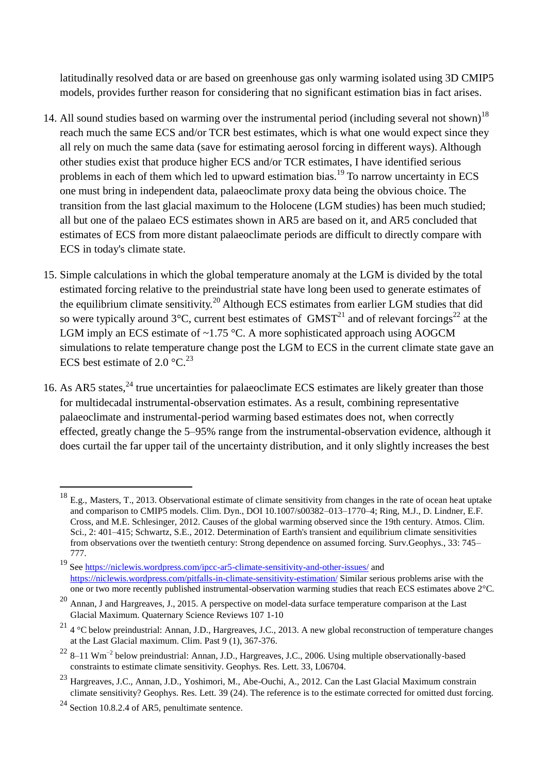latitudinally resolved data or are based on greenhouse gas only warming isolated using 3D CMIP5 models, provides further reason for considering that no significant estimation bias in fact arises.

- 14. All sound studies based on warming over the instrumental period (including several not shown)<sup>18</sup> reach much the same ECS and/or TCR best estimates, which is what one would expect since they all rely on much the same data (save for estimating aerosol forcing in different ways). Although other studies exist that produce higher ECS and/or TCR estimates, I have identified serious problems in each of them which led to upward estimation bias.<sup>19</sup> To narrow uncertainty in ECS one must bring in independent data, palaeoclimate proxy data being the obvious choice. The transition from the last glacial maximum to the Holocene (LGM studies) has been much studied; all but one of the palaeo ECS estimates shown in AR5 are based on it, and AR5 concluded that estimates of ECS from more distant palaeoclimate periods are difficult to directly compare with ECS in today's climate state.
- 15. Simple calculations in which the global temperature anomaly at the LGM is divided by the total estimated forcing relative to the preindustrial state have long been used to generate estimates of the equilibrium climate sensitivity.<sup>20</sup> Although ECS estimates from earlier LGM studies that did so were typically around  $3^{\circ}$ C, current best estimates of GMST<sup>21</sup> and of relevant forcings<sup>22</sup> at the LGM imply an ECS estimate of  $\sim$ 1.75 °C. A more sophisticated approach using AOGCM simulations to relate temperature change post the LGM to ECS in the current climate state gave an ECS best estimate of 2.0  $^{\circ}$ C.<sup>23</sup>
- 16. As AR5 states,<sup>24</sup> true uncertainties for palaeoclimate ECS estimates are likely greater than those for multidecadal instrumental-observation estimates. As a result, combining representative palaeoclimate and instrumental-period warming based estimates does not, when correctly effected, greatly change the 5–95% range from the instrumental-observation evidence, although it does curtail the far upper tail of the uncertainty distribution, and it only slightly increases the best

 $^{18}$  E.g., Masters, T., 2013. Observational estimate of climate sensitivity from changes in the rate of ocean heat uptake and comparison to CMIP5 models. Clim. Dyn., DOI 10.1007/s00382–013–1770–4; Ring, M.J., D. Lindner, E.F. Cross, and M.E. Schlesinger, 2012. Causes of the global warming observed since the 19th century. Atmos. Clim. Sci., 2: 401–415; Schwartz, S.E., 2012. Determination of Earth's transient and equilibrium climate sensitivities from observations over the twentieth century: Strong dependence on assumed forcing. Surv.Geophys., 33: 745– 777.

<sup>&</sup>lt;sup>19</sup> Se[e https://niclewis.wordpress.com/ipcc-ar5-climate-sensitivity-and-other-issues/](https://niclewis.wordpress.com/ipcc-ar5-climate-sensitivity-and-other-issues/) and <https://niclewis.wordpress.com/pitfalls-in-climate-sensitivity-estimation/> Similar serious problems arise with the one or two more recently published instrumental-observation warming studies that reach ECS estimates above 2<sup>o</sup>C.

<sup>20</sup> Annan, J and Hargreaves, J., 2015. A perspective on model-data surface temperature comparison at the Last Glacial Maximum. Quaternary Science Reviews 107 1-10

 $^{21}$  4 °C below preindustrial: Annan, J.D., Hargreaves, J.C., 2013. A new global reconstruction of temperature changes at the Last Glacial maximum. Clim. Past 9 (1), 367-376.

 $22$  8–11 Wm<sup>-2</sup> below preindustrial: Annan, J.D., Hargreaves, J.C., 2006. Using multiple observationally-based constraints to estimate climate sensitivity. Geophys. Res. Lett. 33, L06704.

<sup>23</sup> Hargreaves, J.C., Annan, J.D., Yoshimori, M., Abe-Ouchi, A., 2012. Can the Last Glacial Maximum constrain climate sensitivity? Geophys. Res. Lett. 39 (24). The reference is to the estimate corrected for omitted dust forcing.

<sup>24</sup> Section 10.8.2.4 of AR5, penultimate sentence.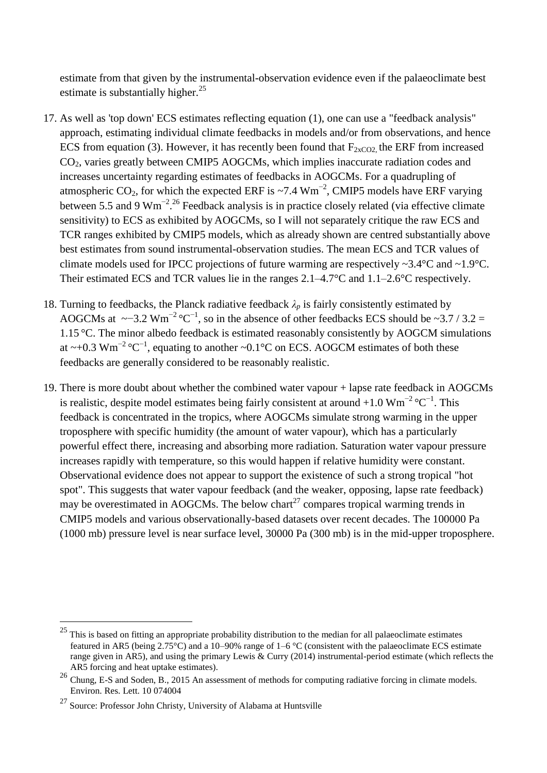estimate from that given by the instrumental-observation evidence even if the palaeoclimate best estimate is substantially higher. $^{25}$ 

- 17. As well as 'top down' ECS estimates reflecting equation (1), one can use a "feedback analysis" approach, estimating individual climate feedbacks in models and/or from observations, and hence ECS from equation (3). However, it has recently been found that  $F_{2xCO2}$  the ERF from increased  $CO<sub>2</sub>$ , varies greatly between CMIP5 AOGCMs, which implies inaccurate radiation codes and increases uncertainty regarding estimates of feedbacks in AOGCMs. For a quadrupling of atmospheric CO<sub>2</sub>, for which the expected ERF is ~7.4 Wm<sup>-2</sup>, CMIP5 models have ERF varying between 5.5 and 9  $Wm^{-2}$ .<sup>26</sup> Feedback analysis is in practice closely related (via effective climate sensitivity) to ECS as exhibited by AOGCMs, so I will not separately critique the raw ECS and TCR ranges exhibited by CMIP5 models, which as already shown are centred substantially above best estimates from sound instrumental-observation studies. The mean ECS and TCR values of climate models used for IPCC projections of future warming are respectively  $\sim$ 3.4°C and  $\sim$ 1.9°C. Their estimated ECS and TCR values lie in the ranges 2.1–4.7°C and 1.1–2.6°C respectively.
- 18. Turning to feedbacks, the Planck radiative feedback  $\lambda_p$  is fairly consistently estimated by AOGCMs at  $\sim$ −3.2 Wm<sup>-2</sup> °C<sup>-1</sup>, so in the absence of other feedbacks ECS should be  $\sim$ 3.7 / 3.2 = 1.15 °C. The minor albedo feedback is estimated reasonably consistently by AOGCM simulations at ~+0.3 Wm<sup>-2</sup> °C<sup>-1</sup>, equating to another ~0.1 °C on ECS. AOGCM estimates of both these feedbacks are generally considered to be reasonably realistic.
- 19. There is more doubt about whether the combined water vapour + lapse rate feedback in AOGCMs is realistic, despite model estimates being fairly consistent at around +1.0  $\text{Wm}^{-2}$ °C<sup>-1</sup>. This feedback is concentrated in the tropics, where AOGCMs simulate strong warming in the upper troposphere with specific humidity (the amount of water vapour), which has a particularly powerful effect there, increasing and absorbing more radiation. Saturation water vapour pressure increases rapidly with temperature, so this would happen if relative humidity were constant. Observational evidence does not appear to support the existence of such a strong tropical "hot spot". This suggests that water vapour feedback (and the weaker, opposing, lapse rate feedback) may be overestimated in AOGCMs. The below chart<sup>27</sup> compares tropical warming trends in CMIP5 models and various observationally-based datasets over recent decades. The 100000 Pa (1000 mb) pressure level is near surface level, 30000 Pa (300 mb) is in the mid-upper troposphere.

 $25$  This is based on fitting an appropriate probability distribution to the median for all palaeoclimate estimates featured in AR5 (being 2.75°C) and a 10–90% range of 1–6 °C (consistent with the palaeoclimate ECS estimate range given in AR5), and using the primary Lewis & Curry (2014) instrumental-period estimate (which reflects the AR5 forcing and heat uptake estimates).

<sup>&</sup>lt;sup>26</sup> Chung, E-S and Soden, B., 2015 An assessment of methods for computing radiative forcing in climate models. Environ. Res. Lett. 10 074004

 $27$  Source: Professor John Christy, University of Alabama at Huntsville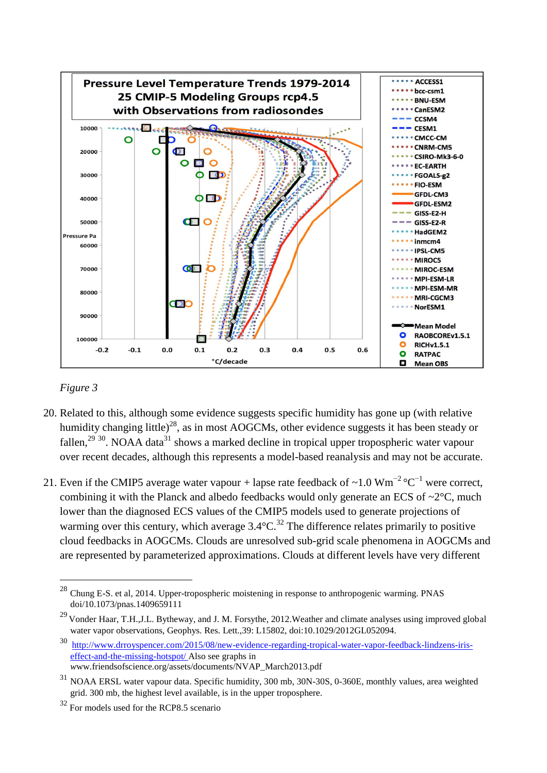

### *Figure 3*

- 20. Related to this, although some evidence suggests specific humidity has gone up (with relative humidity changing little)<sup>28</sup>, as in most AOGCMs, other evidence suggests it has been steady or fallen,<sup>29 30</sup>. NOAA data<sup>31</sup> shows a marked decline in tropical upper tropospheric water vapour over recent decades, although this represents a model-based reanalysis and may not be accurate.
- 21. Even if the CMIP5 average water vapour + lapse rate feedback of ~1.0 Wm<sup>-2</sup> °C<sup>-1</sup> were correct, combining it with the Planck and albedo feedbacks would only generate an ECS of  $\sim$ 2 $\degree$ C, much lower than the diagnosed ECS values of the CMIP5 models used to generate projections of warming over this century, which average  $3.4^{\circ}$ C.<sup>32</sup> The difference relates primarily to positive cloud feedbacks in AOGCMs. Clouds are unresolved sub-grid scale phenomena in AOGCMs and are represented by parameterized approximations. Clouds at different levels have very different

 $^{28}$  Chung E-S. et al, 2014. Upper-tropospheric moistening in response to anthropogenic warming. PNAS doi/10.1073/pnas.1409659111

<sup>&</sup>lt;sup>29</sup> Vonder Haar, T.H.,J.L. Bytheway, and J. M. Forsythe, 2012. Weather and climate analyses using improved global water vapor observations, Geophys. Res. Lett.,39: L15802, doi:10.1029/2012GL052094.

<sup>30</sup> [http://www.drroyspencer.com/2015/08/new-evidence-regarding-tropical-water-vapor-feedback-lindzens-iris](http://www.drroyspencer.com/2015/08/new-evidence-regarding-tropical-water-vapor-feedback-lindzens-iris-effect-and-the-missing-hotspot/)[effect-and-the-missing-hotspot/ A](http://www.drroyspencer.com/2015/08/new-evidence-regarding-tropical-water-vapor-feedback-lindzens-iris-effect-and-the-missing-hotspot/)lso see graphs in *w*ww.friendsofscience.org/assets/documents/NVAP\_March2013.pdf

<sup>31</sup> NOAA ERSL water vapour data. Specific humidity, 300 mb, 30N-30S, 0-360E, monthly values, area weighted grid. 300 mb, the highest level available, is in the upper troposphere.

<sup>32</sup> For models used for the RCP8.5 scenario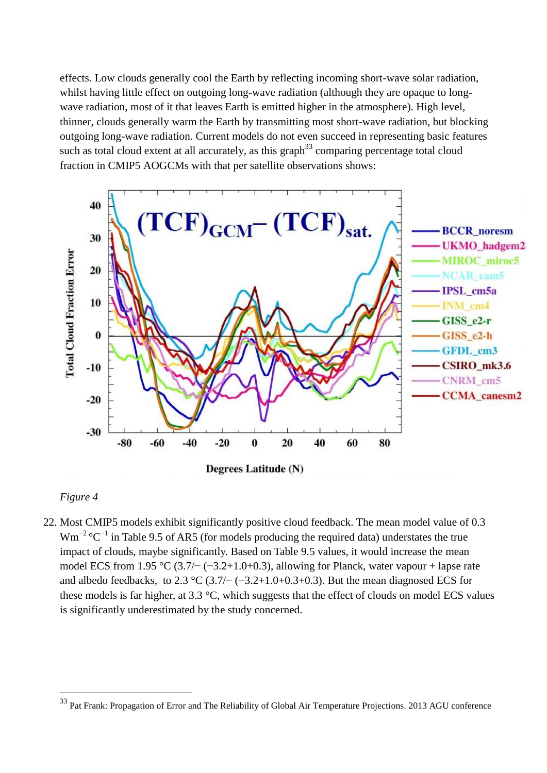effects. Low clouds generally cool the Earth by reflecting incoming short-wave solar radiation, whilst having little effect on outgoing long-wave radiation (although they are opaque to longwave radiation, most of it that leaves Earth is emitted higher in the atmosphere). High level, thinner, clouds generally warm the Earth by transmitting most short-wave radiation, but blocking outgoing long-wave radiation. Current models do not even succeed in representing basic features such as total cloud extent at all accurately, as this graph<sup>33</sup> comparing percentage total cloud fraction in CMIP5 AOGCMs with that per satellite observations shows:



## *Figure 4*

 $\overline{a}$ 

22. Most CMIP5 models exhibit significantly positive cloud feedback. The mean model value of 0.3  $Wm^{-2}$  °C<sup>-1</sup> in Table 9.5 of AR5 (for models producing the required data) understates the true impact of clouds, maybe significantly. Based on Table 9.5 values, it would increase the mean model ECS from 1.95 °C (3.7/− (−3.2+1.0+0.3), allowing for Planck, water vapour + lapse rate and albedo feedbacks, to 2.3 °C (3.7/− (−3.2+1.0+0.3+0.3). But the mean diagnosed ECS for these models is far higher, at 3.3 °C, which suggests that the effect of clouds on model ECS values is significantly underestimated by the study concerned.

<sup>&</sup>lt;sup>33</sup> Pat Frank: Propagation of Error and The Reliability of Global Air Temperature Projections. 2013 AGU conference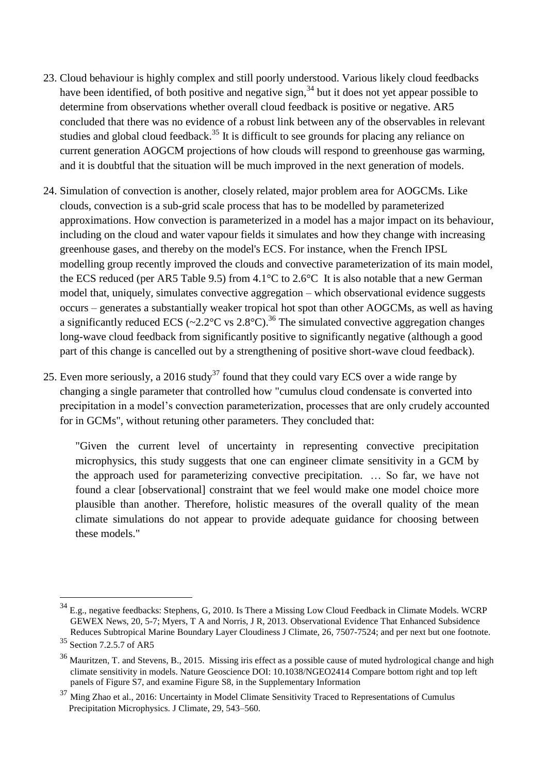- 23. Cloud behaviour is highly complex and still poorly understood. Various likely cloud feedbacks have been identified, of both positive and negative sign,  $34$  but it does not yet appear possible to determine from observations whether overall cloud feedback is positive or negative. AR5 concluded that there was no evidence of a robust link between any of the observables in relevant studies and global cloud feedback.<sup>35</sup> It is difficult to see grounds for placing any reliance on current generation AOGCM projections of how clouds will respond to greenhouse gas warming, and it is doubtful that the situation will be much improved in the next generation of models.
- 24. Simulation of convection is another, closely related, major problem area for AOGCMs. Like clouds, convection is a sub-grid scale process that has to be modelled by parameterized approximations. How convection is parameterized in a model has a major impact on its behaviour, including on the cloud and water vapour fields it simulates and how they change with increasing greenhouse gases, and thereby on the model's ECS. For instance, when the French IPSL modelling group recently improved the clouds and convective parameterization of its main model, the ECS reduced (per AR5 Table 9.5) from 4.1°C to 2.6°C It is also notable that a new German model that, uniquely, simulates convective aggregation – which observational evidence suggests occurs – generates a substantially weaker tropical hot spot than other AOGCMs, as well as having a significantly reduced ECS (~2.2 $\degree$ C vs 2.8 $\degree$ C).<sup>36</sup> The simulated convective aggregation changes long-wave cloud feedback from significantly positive to significantly negative (although a good part of this change is cancelled out by a strengthening of positive short-wave cloud feedback).
- 25. Even more seriously, a 2016 study<sup>37</sup> found that they could vary ECS over a wide range by changing a single parameter that controlled how "cumulus cloud condensate is converted into precipitation in a model's convection parameterization, processes that are only crudely accounted for in GCMs", without retuning other parameters. They concluded that:

"Given the current level of uncertainty in representing convective precipitation microphysics, this study suggests that one can engineer climate sensitivity in a GCM by the approach used for parameterizing convective precipitation. … So far, we have not found a clear [observational] constraint that we feel would make one model choice more plausible than another. Therefore, holistic measures of the overall quality of the mean climate simulations do not appear to provide adequate guidance for choosing between these models."

 $34$  E.g., negative feedbacks: Stephens, G, 2010. Is There a Missing Low Cloud Feedback in Climate Models. WCRP GEWEX News, 20, 5-7; Myers, T A and Norris, J R, 2013. Observational Evidence That Enhanced Subsidence Reduces Subtropical Marine Boundary Layer Cloudiness J Climate, 26, 7507-7524; and per next but one footnote.

<sup>&</sup>lt;sup>35</sup> Section 7.2.5.7 of AR5

<sup>36</sup> Mauritzen, T. and Stevens, B., 2015. Missing iris effect as a possible cause of muted hydrological change and high climate sensitivity in models. Nature Geoscience DOI: 10.1038/NGEO2414 Compare bottom right and top left panels of Figure S7, and examine Figure S8, in the Supplementary Information

<sup>37</sup> Ming Zhao et al., 2016: Uncertainty in Model Climate Sensitivity Traced to Representations of Cumulus Precipitation Microphysics. J Climate, 29, 543–560.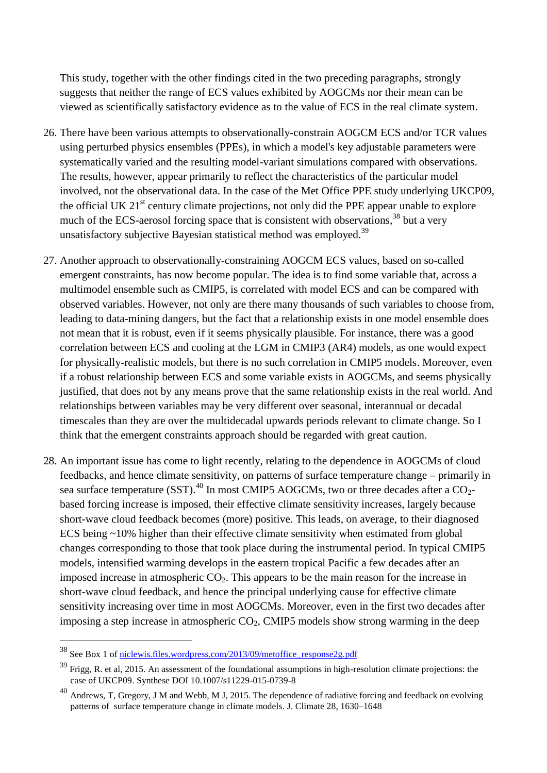This study, together with the other findings cited in the two preceding paragraphs, strongly suggests that neither the range of ECS values exhibited by AOGCMs nor their mean can be viewed as scientifically satisfactory evidence as to the value of ECS in the real climate system.

- 26. There have been various attempts to observationally-constrain AOGCM ECS and/or TCR values using perturbed physics ensembles (PPEs), in which a model's key adjustable parameters were systematically varied and the resulting model-variant simulations compared with observations. The results, however, appear primarily to reflect the characteristics of the particular model involved, not the observational data. In the case of the Met Office PPE study underlying UKCP09, the official UK  $21<sup>st</sup>$  century climate projections, not only did the PPE appear unable to explore much of the ECS-aerosol forcing space that is consistent with observations,<sup>38</sup> but a very unsatisfactory subjective Bayesian statistical method was employed.<sup>39</sup>
- 27. Another approach to observationally-constraining AOGCM ECS values, based on so-called emergent constraints, has now become popular. The idea is to find some variable that, across a multimodel ensemble such as CMIP5, is correlated with model ECS and can be compared with observed variables. However, not only are there many thousands of such variables to choose from, leading to data-mining dangers, but the fact that a relationship exists in one model ensemble does not mean that it is robust, even if it seems physically plausible. For instance, there was a good correlation between ECS and cooling at the LGM in CMIP3 (AR4) models, as one would expect for physically-realistic models, but there is no such correlation in CMIP5 models. Moreover, even if a robust relationship between ECS and some variable exists in AOGCMs, and seems physically justified, that does not by any means prove that the same relationship exists in the real world. And relationships between variables may be very different over seasonal, interannual or decadal timescales than they are over the multidecadal upwards periods relevant to climate change. So I think that the emergent constraints approach should be regarded with great caution.
- 28. An important issue has come to light recently, relating to the dependence in AOGCMs of cloud feedbacks, and hence climate sensitivity, on patterns of surface temperature change – primarily in sea surface temperature (SST).<sup>40</sup> In most CMIP5 AOGCMs, two or three decades after a CO<sub>2</sub>based forcing increase is imposed, their effective climate sensitivity increases, largely because short-wave cloud feedback becomes (more) positive. This leads, on average, to their diagnosed ECS being ~10% higher than their effective climate sensitivity when estimated from global changes corresponding to those that took place during the instrumental period. In typical CMIP5 models, intensified warming develops in the eastern tropical Pacific a few decades after an imposed increase in atmospheric  $CO<sub>2</sub>$ . This appears to be the main reason for the increase in short-wave cloud feedback, and hence the principal underlying cause for effective climate sensitivity increasing over time in most AOGCMs. Moreover, even in the first two decades after imposing a step increase in atmospheric  $CO<sub>2</sub>$ , CMIP5 models show strong warming in the deep

<sup>38</sup> See Box 1 of [niclewis.files.wordpress.com/2013/09/metoffice\\_response2g.pdf](niclewis.files.wordpress.com/2013/09/metoffice_response2g.pdf)

 $39$  Frigg, R. et al, 2015. An assessment of the foundational assumptions in high-resolution climate projections: the case of UKCP09. Synthese DOI 10.1007/s11229-015-0739-8

<sup>40</sup> Andrews, T, Gregory, J M and Webb, M J, 2015. The dependence of radiative forcing and feedback on evolving patterns of surface temperature change in climate models. J. Climate 28, 1630–1648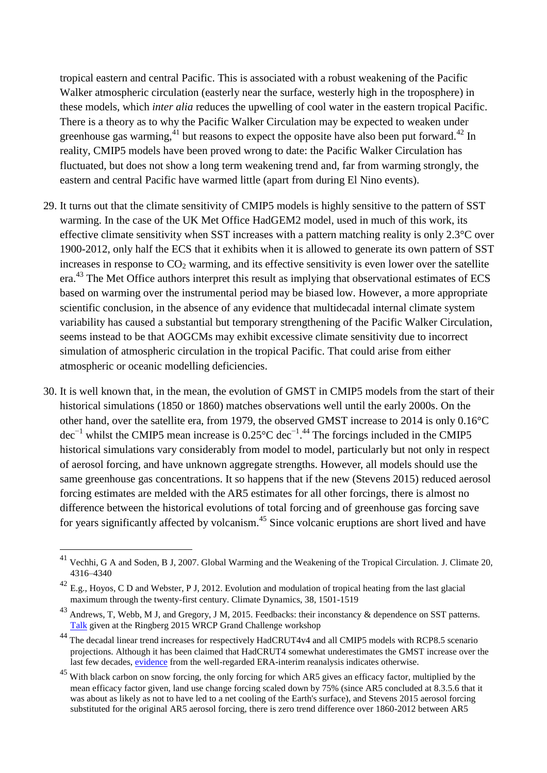tropical eastern and central Pacific. This is associated with a robust weakening of the Pacific Walker atmospheric circulation (easterly near the surface, westerly high in the troposphere) in these models, which *inter alia* reduces the upwelling of cool water in the eastern tropical Pacific. There is a theory as to why the Pacific Walker Circulation may be expected to weaken under greenhouse gas warming,  $41$  but reasons to expect the opposite have also been put forward,  $42$  In reality, CMIP5 models have been proved wrong to date: the Pacific Walker Circulation has fluctuated, but does not show a long term weakening trend and, far from warming strongly, the eastern and central Pacific have warmed little (apart from during El Nino events).

- 29. It turns out that the climate sensitivity of CMIP5 models is highly sensitive to the pattern of SST warming. In the case of the UK Met Office HadGEM2 model, used in much of this work, its effective climate sensitivity when SST increases with a pattern matching reality is only 2.3°C over 1900-2012, only half the ECS that it exhibits when it is allowed to generate its own pattern of SST increases in response to  $CO<sub>2</sub>$  warming, and its effective sensitivity is even lower over the satellite era.<sup>43</sup> The Met Office authors interpret this result as implying that observational estimates of ECS based on warming over the instrumental period may be biased low. However, a more appropriate scientific conclusion, in the absence of any evidence that multidecadal internal climate system variability has caused a substantial but temporary strengthening of the Pacific Walker Circulation, seems instead to be that AOGCMs may exhibit excessive climate sensitivity due to incorrect simulation of atmospheric circulation in the tropical Pacific. That could arise from either atmospheric or oceanic modelling deficiencies.
- 30. It is well known that, in the mean, the evolution of GMST in CMIP5 models from the start of their historical simulations (1850 or 1860) matches observations well until the early 2000s. On the other hand, over the satellite era, from 1979, the observed GMST increase to 2014 is only 0.16°C dec<sup>-1</sup> whilst the CMIP5 mean increase is 0.25 $\rm{°C}$  dec<sup>-1.44</sup> The forcings included in the CMIP5 historical simulations vary considerably from model to model, particularly but not only in respect of aerosol forcing, and have unknown aggregate strengths. However, all models should use the same greenhouse gas concentrations. It so happens that if the new (Stevens 2015) reduced aerosol forcing estimates are melded with the AR5 estimates for all other forcings, there is almost no difference between the historical evolutions of total forcing and of greenhouse gas forcing save for years significantly affected by volcanism.<sup>45</sup> Since volcanic eruptions are short lived and have

 $^{41}$  Vechhi, G A and Soden, B J, 2007. Global Warming and the Weakening of the Tropical Circulation. J. Climate 20, 4316–4340

<sup>&</sup>lt;sup>42</sup> E.g., Hovos, C D and Webster, P J, 2012. Evolution and modulation of tropical heating from the last glacial maximum through the twenty-first century. Climate Dynamics, 38, 1501-1519

<sup>&</sup>lt;sup>43</sup> Andrews, T, Webb, M J, and Gregory, J M, 2015. Feedbacks: their inconstancy & dependence on SST patterns. [Talk](http://www.mpimet.mpg.de/fileadmin/atmosphaere/WCRP_Grand_Challenge_Workshop/Ringberg_2015/Talks/Andrews_23032015.pdf) given at the Ringberg 2015 WRCP Grand Challenge workshop

<sup>&</sup>lt;sup>44</sup> The decadal linear trend increases for respectively HadCRUT4v4 and all CMIP5 models with RCP8.5 scenario projections. Although it has been claimed that HadCRUT4 somewhat underestimates the GMST increase over the last few decades, [evidence](http://www.ecmwf.int/en/about/media-centre/news/2015/ecmwf-releases-global-reanalysis-data-2014-0) from the well-regarded ERA-interim reanalysis indicates otherwise.

<sup>&</sup>lt;sup>45</sup> With black carbon on snow forcing, the only forcing for which AR5 gives an efficacy factor, multiplied by the mean efficacy factor given, land use change forcing scaled down by 75% (since AR5 concluded at 8.3.5.6 that it was about as likely as not to have led to a net cooling of the Earth's surface), and Stevens 2015 aerosol forcing substituted for the original AR5 aerosol forcing, there is zero trend difference over 1860-2012 between AR5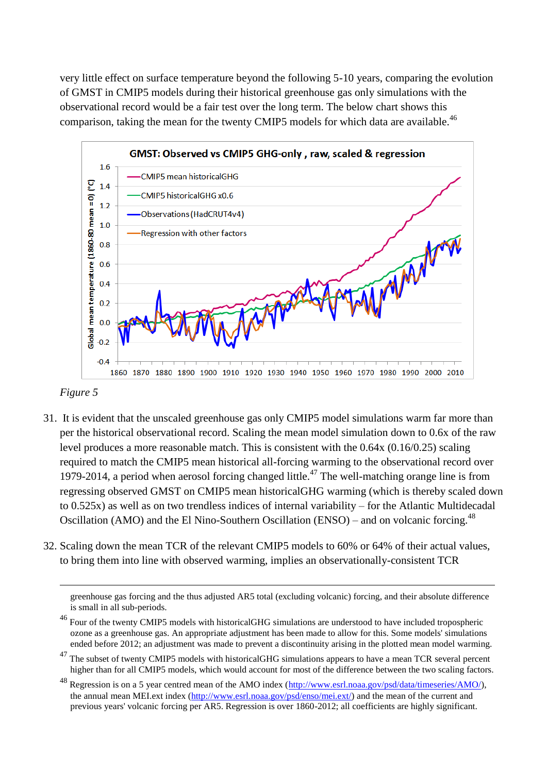very little effect on surface temperature beyond the following 5-10 years, comparing the evolution of GMST in CMIP5 models during their historical greenhouse gas only simulations with the observational record would be a fair test over the long term. The below chart shows this comparison, taking the mean for the twenty CMIP5 models for which data are available.<sup>46</sup>





1

- 31. It is evident that the unscaled greenhouse gas only CMIP5 model simulations warm far more than per the historical observational record. Scaling the mean model simulation down to 0.6x of the raw level produces a more reasonable match. This is consistent with the 0.64x (0.16/0.25) scaling required to match the CMIP5 mean historical all-forcing warming to the observational record over 1979-2014, a period when aerosol forcing changed little.<sup>47</sup> The well-matching orange line is from regressing observed GMST on CMIP5 mean historicalGHG warming (which is thereby scaled down to 0.525x) as well as on two trendless indices of internal variability – for the Atlantic Multidecadal Oscillation (AMO) and the El Nino-Southern Oscillation (ENSO) – and on volcanic forcing.<sup>48</sup>
- 32. Scaling down the mean TCR of the relevant CMIP5 models to 60% or 64% of their actual values, to bring them into line with observed warming, implies an observationally-consistent TCR

greenhouse gas forcing and the thus adjusted AR5 total (excluding volcanic) forcing, and their absolute difference is small in all sub-periods.

<sup>46</sup> Four of the twenty CMIP5 models with historicalGHG simulations are understood to have included tropospheric ozone as a greenhouse gas. An appropriate adjustment has been made to allow for this. Some models' simulations ended before 2012; an adjustment was made to prevent a discontinuity arising in the plotted mean model warming.

<sup>&</sup>lt;sup>47</sup> The subset of twenty CMIP5 models with historicalGHG simulations appears to have a mean TCR several percent higher than for all CMIP5 models, which would account for most of the difference between the two scaling factors.

<sup>48</sup> Regression is on a 5 year centred mean of the AMO index [\(http://www.esrl.noaa.gov/psd/data/timeseries/AMO/\)](http://www.esrl.noaa.gov/psd/data/timeseries/AMO/), the annual mean MEI.ext index [\(http://www.esrl.noaa.gov/psd/enso/mei.ext/\)](http://www.esrl.noaa.gov/psd/enso/mei.ext/) and the mean of the current and previous years' volcanic forcing per AR5. Regression is over 1860-2012; all coefficients are highly significant.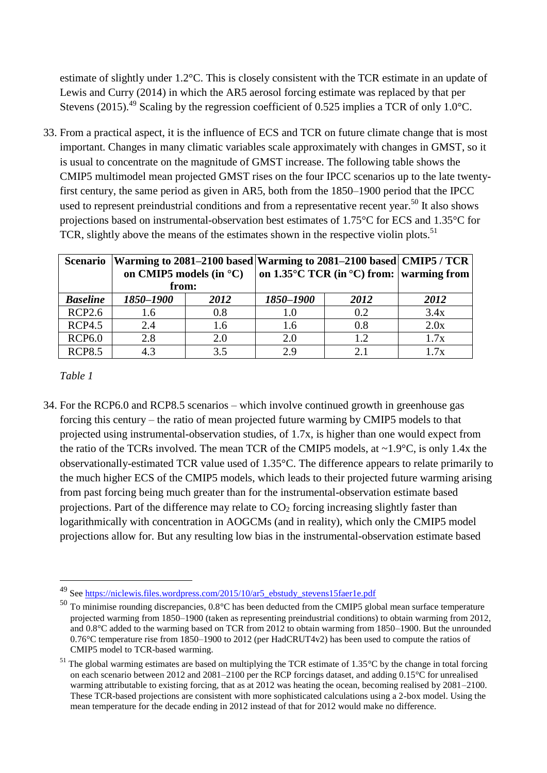estimate of slightly under 1.2°C. This is closely consistent with the TCR estimate in an update of Lewis and Curry (2014) in which the AR5 aerosol forcing estimate was replaced by that per Stevens (2015).<sup>49</sup> Scaling by the regression coefficient of 0.525 implies a TCR of only 1.0°C.

33. From a practical aspect, it is the influence of ECS and TCR on future climate change that is most important. Changes in many climatic variables scale approximately with changes in GMST, so it is usual to concentrate on the magnitude of GMST increase. The following table shows the CMIP5 multimodel mean projected GMST rises on the four IPCC scenarios up to the late twentyfirst century, the same period as given in AR5, both from the 1850–1900 period that the IPCC used to represent preindustrial conditions and from a representative recent year.<sup>50</sup> It also shows projections based on instrumental-observation best estimates of 1.75°C for ECS and 1.35°C for TCR, slightly above the means of the estimates shown in the respective violin plots.<sup>51</sup>

| <b>Scenario</b> | on CMIP5 models (in $^{\circ}$ C)<br>from: |      | Warming to 2081–2100 based   Warming to 2081–2100 based   CMIP5 / TCR<br>on $1.35^{\circ}$ C TCR (in $^{\circ}$ C) from:   warming from |      |      |
|-----------------|--------------------------------------------|------|-----------------------------------------------------------------------------------------------------------------------------------------|------|------|
| <b>Baseline</b> | 1850–1900                                  | 2012 | 1850-1900                                                                                                                               | 2012 | 2012 |
|                 |                                            |      |                                                                                                                                         |      |      |
| <b>RCP2.6</b>   | 1.6                                        | 0.8  | 1.0                                                                                                                                     | 0.2  | 3.4x |
| <b>RCP4.5</b>   | 2.4                                        | 1.6  | 1.6                                                                                                                                     | 0.8  | 2.0x |
| <b>RCP6.0</b>   | 2.8                                        | 2.0  | 2.0                                                                                                                                     | 1.2  | 1.7x |
| <b>RCP8.5</b>   | 4.3                                        | 35   | 29                                                                                                                                      | 2.1  | 1.7x |

*Table 1*

 $\overline{a}$ 

34. For the RCP6.0 and RCP8.5 scenarios – which involve continued growth in greenhouse gas forcing this century – the ratio of mean projected future warming by CMIP5 models to that projected using instrumental-observation studies, of 1.7x, is higher than one would expect from the ratio of the TCRs involved. The mean TCR of the CMIP5 models, at ~1.9°C, is only 1.4x the observationally-estimated TCR value used of 1.35°C. The difference appears to relate primarily to the much higher ECS of the CMIP5 models, which leads to their projected future warming arising from past forcing being much greater than for the instrumental-observation estimate based projections. Part of the difference may relate to  $CO<sub>2</sub>$  forcing increasing slightly faster than logarithmically with concentration in AOGCMs (and in reality), which only the CMIP5 model projections allow for. But any resulting low bias in the instrumental-observation estimate based

<sup>49</sup> Se[e https://niclewis.files.wordpress.com/2015/10/ar5\\_ebstudy\\_stevens15faer1e.pdf](https://niclewis.files.wordpress.com/2015/10/ar5_ebstudy_stevens15faer1e.pdf)

<sup>50</sup> To minimise rounding discrepancies, 0.8°C has been deducted from the CMIP5 global mean surface temperature projected warming from 1850–1900 (taken as representing preindustrial conditions) to obtain warming from 2012, and 0.8°C added to the warming based on TCR from 2012 to obtain warming from 1850–1900. But the unrounded 0.76°C temperature rise from 1850–1900 to 2012 (per HadCRUT4v2) has been used to compute the ratios of CMIP5 model to TCR-based warming.

 $51$  The global warming estimates are based on multiplying the TCR estimate of 1.35 $^{\circ}$ C by the change in total forcing on each scenario between 2012 and 2081–2100 per the RCP forcings dataset, and adding 0.15°C for unrealised warming attributable to existing forcing, that as at 2012 was heating the ocean, becoming realised by 2081–2100. These TCR-based projections are consistent with more sophisticated calculations using a 2-box model. Using the mean temperature for the decade ending in 2012 instead of that for 2012 would make no difference.